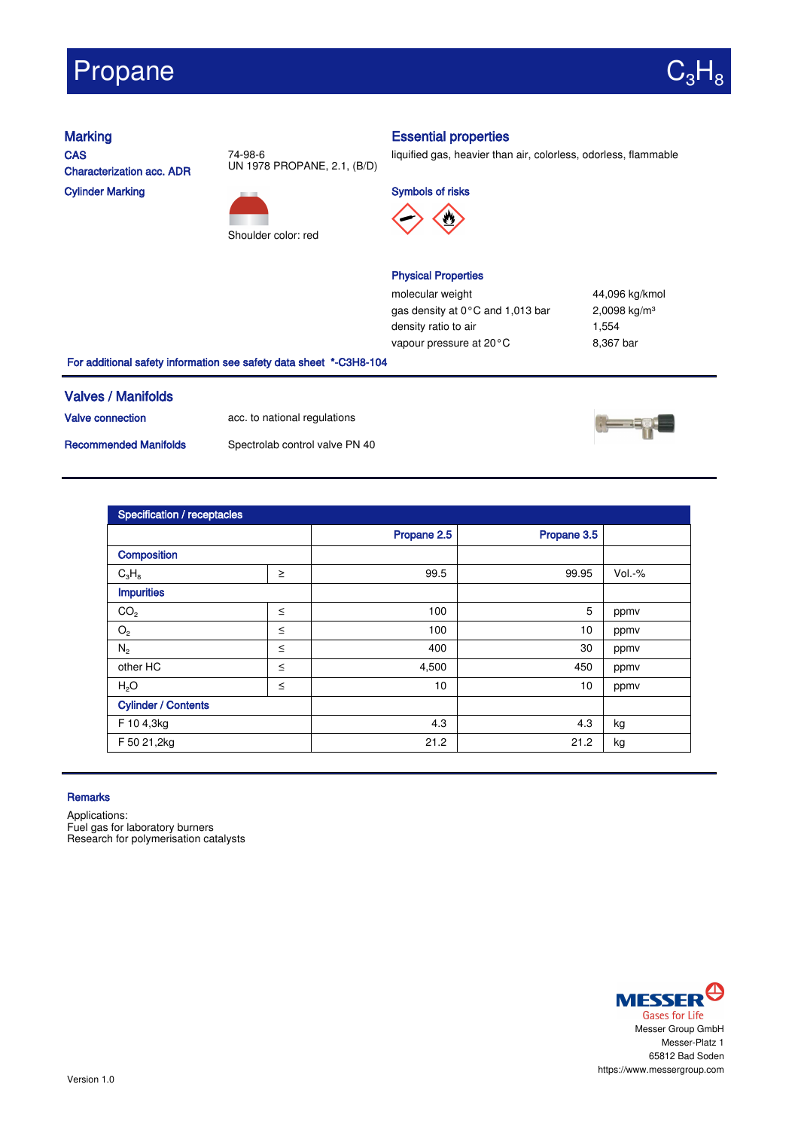# Propane



**CAS** Characterization acc. ADR Cylinder Marking



74-98-6

Shoulder color: red

## Marking **Essential properties**

liquified gas, heavier than air, colorless, odorless, flammable

Symbols of risks



### Physical Properties

molecular weight 44,096 kg/kmol gas density at 0°C and 1,013 bar 2,0098 kg/m<sup>3</sup> density ratio to air 1,554 vapour pressure at 20°C 8,367 bar

For additional safety information see safety data sheet \*-C3H8-104

### Valves / Manifolds

Valve connection acc. to national regulations

Recommended Manifolds Spectrolab control valve PN 40





| <b>Specification / receptacles</b> |        |             |             |          |  |  |
|------------------------------------|--------|-------------|-------------|----------|--|--|
|                                    |        | Propane 2.5 | Propane 3.5 |          |  |  |
| <b>Composition</b>                 |        |             |             |          |  |  |
| $C_3H_8$                           | $\geq$ | 99.5        | 99.95       | $Vol.-%$ |  |  |
| <b>Impurities</b>                  |        |             |             |          |  |  |
| CO <sub>2</sub>                    | $\leq$ | 100         | 5           | ppmv     |  |  |
| $\mathrm{O}_2$                     | $\leq$ | 100         | 10          | ppmv     |  |  |
| $N_{2}$                            | $\leq$ | 400         | 30          | ppmv     |  |  |
| other HC                           | $\leq$ | 4,500       | 450         | ppmv     |  |  |
| H <sub>2</sub> O                   | $\leq$ | 10          | 10          | ppmv     |  |  |
| <b>Cylinder / Contents</b>         |        |             |             |          |  |  |
| F 10 4,3kg                         |        | 4.3         | 4.3         | kg       |  |  |
| F 50 21,2kg                        |        | 21.2        | 21.2        | kg       |  |  |

#### **Remarks**

Applications: Fuel gas for laboratory burners Research for polymerisation catalysts